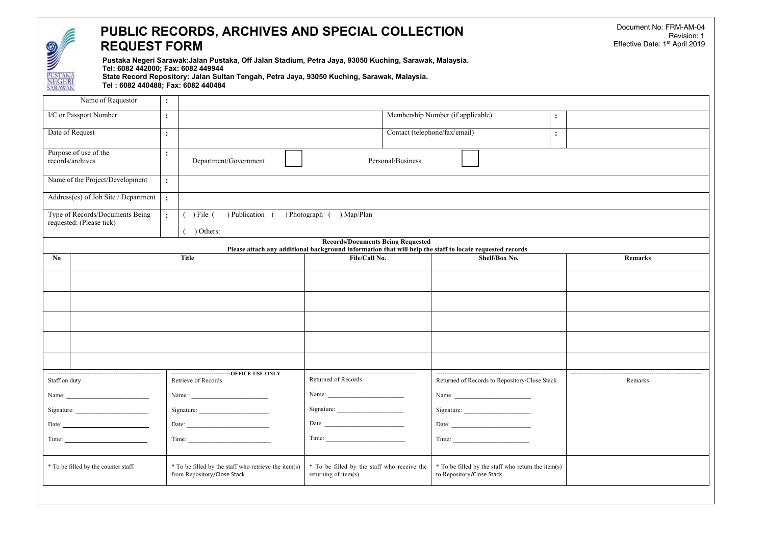## **PUBLIC RECORDS, ARCHIVES AND SPECIAL COLLECTION REQUEST FORM**

**Pustaka Negeri Sarawak:Jalan Pustaka, Off Jalan Stadium, Petra Jaya, 93050 Kuching, Sarawak, Malaysia. Tel: 6082 442000; Fax: 6082 449944 State Record Repository: Jalan Sultan Tengah, Petra Jaya, 93050 Kuching, Sarawak, Malaysia.**

**Tel : 6082 440488; Fax: 6082 440484**

|                                      | Name of Requestor                    | $\ddot{\cdot}$ |                                                                                     |                                                                      |                               |                                                                                                          |                       |         |
|--------------------------------------|--------------------------------------|----------------|-------------------------------------------------------------------------------------|----------------------------------------------------------------------|-------------------------------|----------------------------------------------------------------------------------------------------------|-----------------------|---------|
|                                      | I/C or Passport Number               | $\ddot{\cdot}$ |                                                                                     |                                                                      |                               | Membership Number (if applicable)                                                                        | $\ddot{\cdot}$        |         |
|                                      | Date of Request                      | $\ddot{\cdot}$ |                                                                                     |                                                                      | Contact (telephone/fax/email) |                                                                                                          | $\ddot{\cdot}$        |         |
|                                      | Purpose of use of the                | $\ddot{\cdot}$ |                                                                                     |                                                                      |                               |                                                                                                          |                       |         |
|                                      | records/archives                     |                | Department/Government                                                               |                                                                      | Personal/Business             |                                                                                                          |                       |         |
|                                      | Name of the Project/Development      | $\ddot{\cdot}$ |                                                                                     |                                                                      |                               |                                                                                                          |                       |         |
|                                      | Address(es) of Job Site / Department | $\ddot{\cdot}$ |                                                                                     |                                                                      |                               |                                                                                                          |                       |         |
|                                      | Type of Records/Documents Being      | $\mathbf{L}$   | $()$ File $()$<br>) Publication (                                                   | ) Photograph ( ) Map/Plan                                            |                               |                                                                                                          |                       |         |
|                                      | requested: (Please tick)             |                | $( )$ Others:                                                                       |                                                                      |                               |                                                                                                          |                       |         |
|                                      |                                      |                |                                                                                     | <b>Records/Documents Being Requested</b>                             |                               | Please attach any additional background information that will help the staff to locate requested records |                       |         |
| No                                   |                                      | <b>Title</b>   |                                                                                     |                                                                      | File/Call No.                 | Shelf/Box No.                                                                                            |                       | Remarks |
|                                      |                                      |                |                                                                                     |                                                                      |                               |                                                                                                          |                       |         |
|                                      |                                      |                |                                                                                     |                                                                      |                               |                                                                                                          |                       |         |
|                                      |                                      |                |                                                                                     |                                                                      |                               |                                                                                                          |                       |         |
|                                      |                                      |                |                                                                                     |                                                                      |                               |                                                                                                          |                       |         |
|                                      |                                      |                |                                                                                     |                                                                      |                               |                                                                                                          |                       |         |
|                                      |                                      |                |                                                                                     |                                                                      |                               |                                                                                                          |                       |         |
|                                      |                                      |                | Retrieve of Records                                                                 | Returned of Records                                                  |                               | Returned of Records to Repository/Close Stack                                                            | --------------------- | Remarks |
| Staff on duty                        |                                      |                |                                                                                     |                                                                      |                               |                                                                                                          |                       |         |
|                                      |                                      |                |                                                                                     |                                                                      |                               |                                                                                                          |                       |         |
| Date: $\qquad \qquad$                |                                      |                |                                                                                     | Date: $\qquad \qquad$                                                |                               |                                                                                                          |                       |         |
|                                      |                                      |                |                                                                                     |                                                                      |                               | Time:                                                                                                    |                       |         |
| * To be filled by the counter staff. |                                      |                | * To be filled by the staff who retrieve the item(s)<br>from Repository/Close Stack | * To be filled by the staff who receive the<br>returning of item(s). |                               | * To be filled by the staff who return the item(s)<br>to Repository/Close Stack                          |                       |         |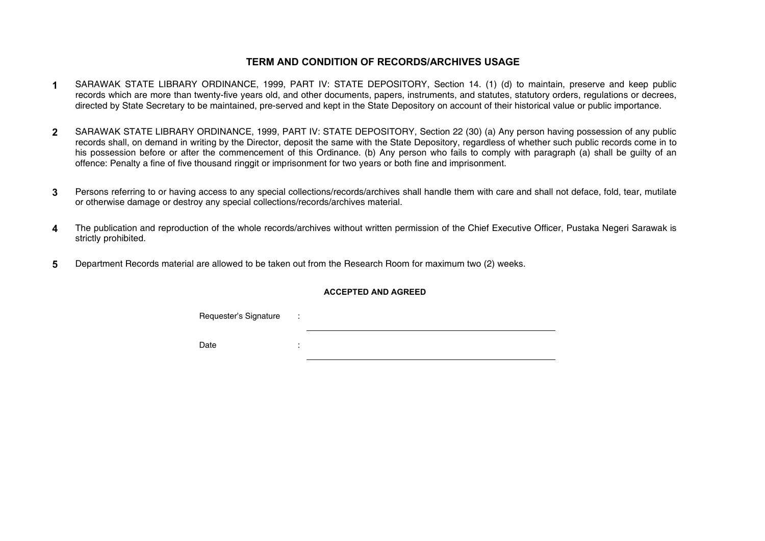## **TERM AND CONDITION OF RECORDS/ARCHIVES USAGE**

- **1** SARAWAK STATE LIBRARY ORDINANCE, 1999, PART IV: STATE DEPOSITORY, Section 14. (1) (d) to maintain, preserve and keep public records which are more than twenty-five years old, and other documents, papers, instruments, and statutes, statutory orders, regulations or decrees, directed by State Secretary to be maintained, pre-served and kept in the State Depository on account of their historical value or public importance.
- **2** SARAWAK STATE LIBRARY ORDINANCE, 1999, PART IV: STATE DEPOSITORY, Section 22 (30) (a) Any person having possession of any public records shall, on demand in writing by the Director, deposit the same with the State Depository, regardless of whether such public records come in to his possession before or after the commencement of this Ordinance. (b) Any person who fails to comply with paragraph (a) shall be quilty of an offence: Penalty a fine of five thousand ringgit orimprisonment for two years or both fine and imprisonment.
- **3** Persons referring to or having access to any special collections/records/archives shall handle them with care and shall not deface, fold, tear, mutilate or otherwise damage or destroy any special collections/records/archives material.
- **4** The publication and reproduction of the whole records/archives without written permission of the Chief Executive Officer, Pustaka Negeri Sarawak is strictly prohibited.
- **5** Department Records material are allowed to be taken out from the Research Room for maximum two (2) weeks.

## **ACCEPTED AND AGREED**

Requester's Signature :

Date